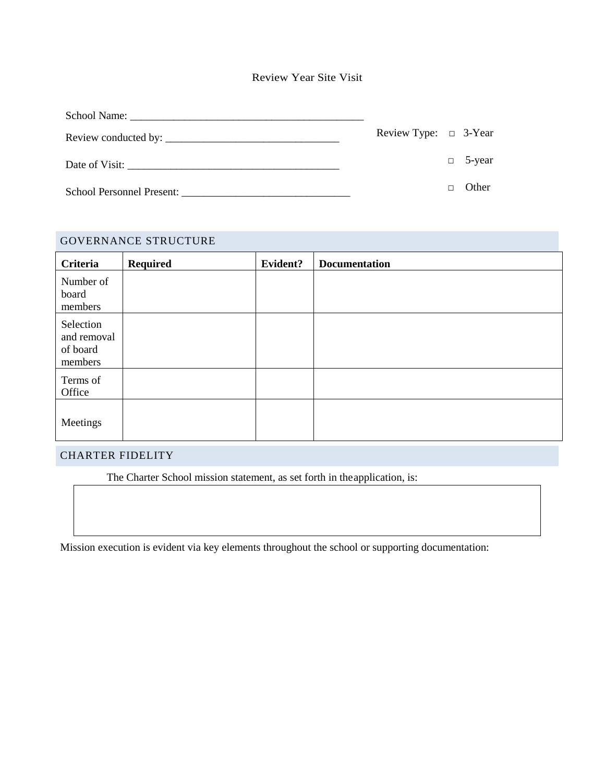| <b>Review Year Site Visit</b> |  |
|-------------------------------|--|
|-------------------------------|--|

|                | Review Type: $\Box$ 3-Year |               |
|----------------|----------------------------|---------------|
| Date of Visit: |                            | $\Box$ 5-year |
|                |                            | Other         |

| <b>GOVERNANCE STRUCTURE</b>                     |                 |          |                      |  |  |
|-------------------------------------------------|-----------------|----------|----------------------|--|--|
| <b>Criteria</b>                                 | <b>Required</b> | Evident? | <b>Documentation</b> |  |  |
| Number of<br>board<br>members                   |                 |          |                      |  |  |
| Selection<br>and removal<br>of board<br>members |                 |          |                      |  |  |
| Terms of<br>Office                              |                 |          |                      |  |  |
| Meetings                                        |                 |          |                      |  |  |

## CHARTER FIDELITY

The Charter School mission statement, as set forth in theapplication, is:

Mission execution is evident via key elements throughout the school or supporting documentation: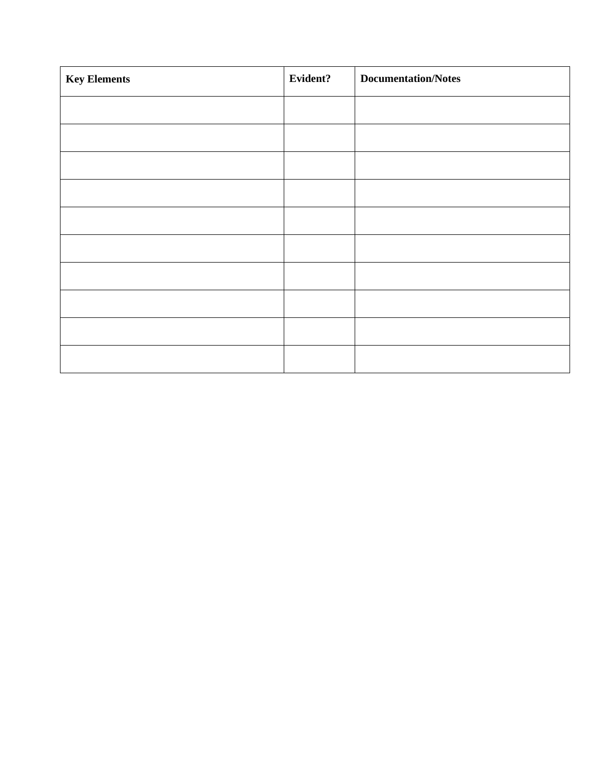| <b>Key Elements</b> | Evident? | <b>Documentation/Notes</b> |
|---------------------|----------|----------------------------|
|                     |          |                            |
|                     |          |                            |
|                     |          |                            |
|                     |          |                            |
|                     |          |                            |
|                     |          |                            |
|                     |          |                            |
|                     |          |                            |
|                     |          |                            |
|                     |          |                            |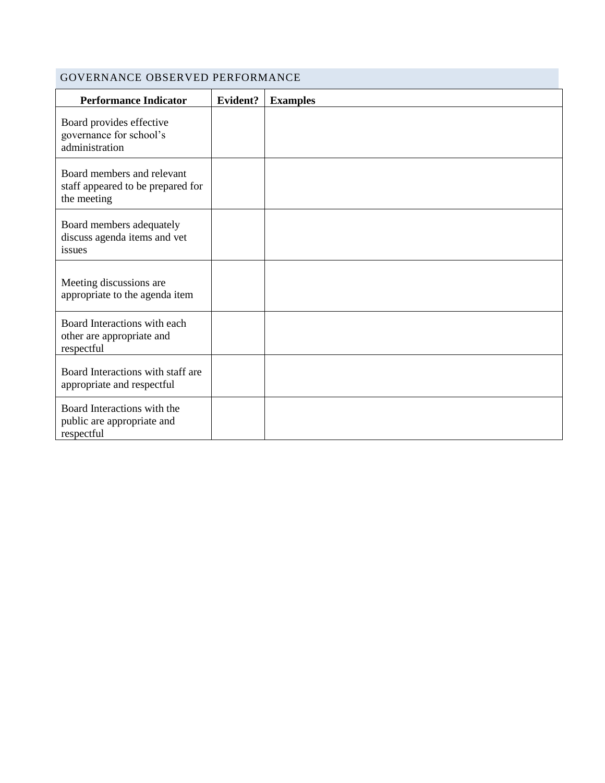### GOVERNANCE OBSERVED PERFORMANCE

| <b>Performance Indicator</b>                                                   | Evident? | <b>Examples</b> |
|--------------------------------------------------------------------------------|----------|-----------------|
| Board provides effective<br>governance for school's<br>administration          |          |                 |
| Board members and relevant<br>staff appeared to be prepared for<br>the meeting |          |                 |
| Board members adequately<br>discuss agenda items and vet<br>issues             |          |                 |
| Meeting discussions are<br>appropriate to the agenda item                      |          |                 |
| Board Interactions with each<br>other are appropriate and<br>respectful        |          |                 |
| Board Interactions with staff are<br>appropriate and respectful                |          |                 |
| Board Interactions with the<br>public are appropriate and<br>respectful        |          |                 |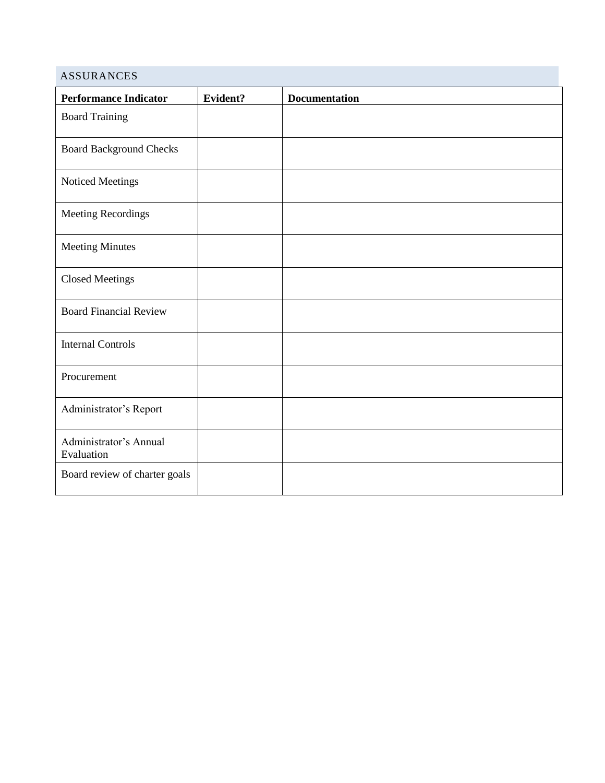| <b>ASSURANCES</b>                    |          |                      |
|--------------------------------------|----------|----------------------|
| <b>Performance Indicator</b>         | Evident? | <b>Documentation</b> |
| <b>Board Training</b>                |          |                      |
| <b>Board Background Checks</b>       |          |                      |
| Noticed Meetings                     |          |                      |
| Meeting Recordings                   |          |                      |
| <b>Meeting Minutes</b>               |          |                      |
| <b>Closed Meetings</b>               |          |                      |
| <b>Board Financial Review</b>        |          |                      |
| <b>Internal Controls</b>             |          |                      |
| Procurement                          |          |                      |
| Administrator's Report               |          |                      |
| Administrator's Annual<br>Evaluation |          |                      |
| Board review of charter goals        |          |                      |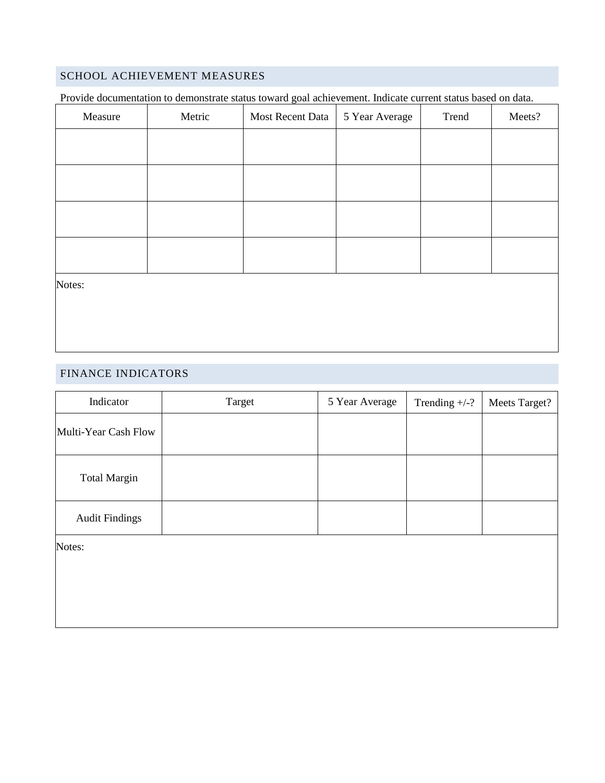## SCHOOL ACHIEVEMENT MEASURES

Provide documentation to demonstrate status toward goal achievement. Indicate current status based on data.

| Measure | Metric | Most Recent Data | 5 Year Average | Trend | Meets? |
|---------|--------|------------------|----------------|-------|--------|
|         |        |                  |                |       |        |
|         |        |                  |                |       |        |
|         |        |                  |                |       |        |
|         |        |                  |                |       |        |
| Notes:  |        |                  |                |       |        |

#### FINANCE INDICATORS

| Indicator             | Target | 5 Year Average | Trending $+/-?$ | Meets Target? |
|-----------------------|--------|----------------|-----------------|---------------|
| Multi-Year Cash Flow  |        |                |                 |               |
| <b>Total Margin</b>   |        |                |                 |               |
| <b>Audit Findings</b> |        |                |                 |               |
| Notes:                |        |                |                 |               |